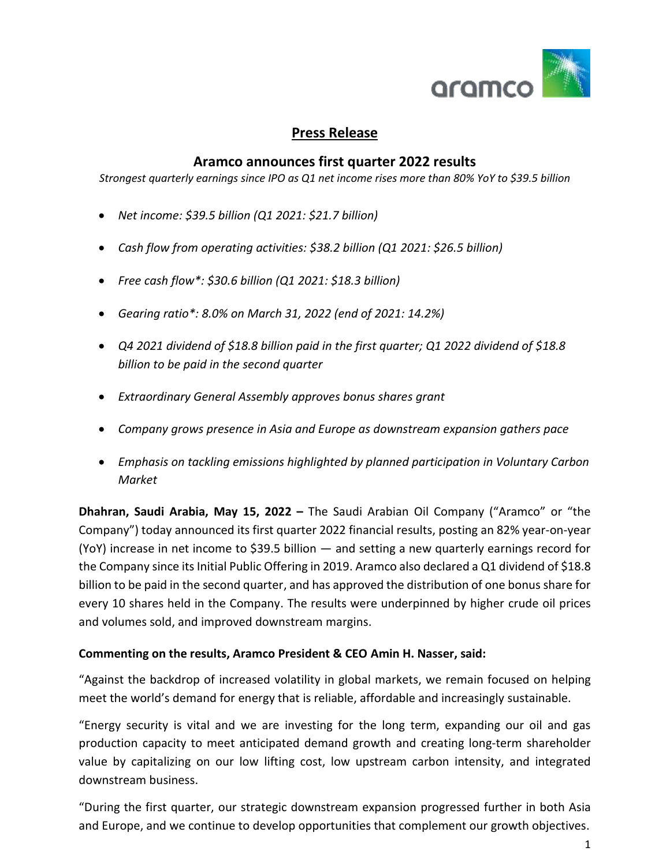

# **Press Release**

### **Aramco announces first quarter 2022 results**

*Strongest quarterly earnings since IPO as Q1 net income rises more than 80% YoY to \$39.5 billion*

- *Net income: \$39.5 billion (Q1 2021: \$21.7 billion)*
- *Cash flow from operating activities: \$38.2 billion (Q1 2021: \$26.5 billion)*
- *Free cash flow\*: \$30.6 billion (Q1 2021: \$18.3 billion)*
- *Gearing ratio\*: 8.0% on March 31, 2022 (end of 2021: 14.2%)*
- *Q4 2021 dividend of \$18.8 billion paid in the first quarter; Q1 2022 dividend of \$18.8 billion to be paid in the second quarter*
- *Extraordinary General Assembly approves bonus shares grant*
- *Company grows presence in Asia and Europe as downstream expansion gathers pace*
- *Emphasis on tackling emissions highlighted by planned participation in Voluntary Carbon Market*

**Dhahran, Saudi Arabia, May 15, 2022 –** The Saudi Arabian Oil Company ("Aramco" or "the Company") today announced its first quarter 2022 financial results, posting an 82% year-on-year (YoY) increase in net income to \$39.5 billion — and setting a new quarterly earnings record for the Company since its Initial Public Offering in 2019. Aramco also declared a Q1 dividend of \$18.8 billion to be paid in the second quarter, and has approved the distribution of one bonus share for every 10 shares held in the Company. The results were underpinned by higher crude oil prices and volumes sold, and improved downstream margins.

#### **Commenting on the results, Aramco President & CEO Amin H. Nasser, said:**

"Against the backdrop of increased volatility in global markets, we remain focused on helping meet the world's demand for energy that is reliable, affordable and increasingly sustainable.

"Energy security is vital and we are investing for the long term, expanding our oil and gas production capacity to meet anticipated demand growth and creating long-term shareholder value by capitalizing on our low lifting cost, low upstream carbon intensity, and integrated downstream business.

"During the first quarter, our strategic downstream expansion progressed further in both Asia and Europe, and we continue to develop opportunities that complement our growth objectives.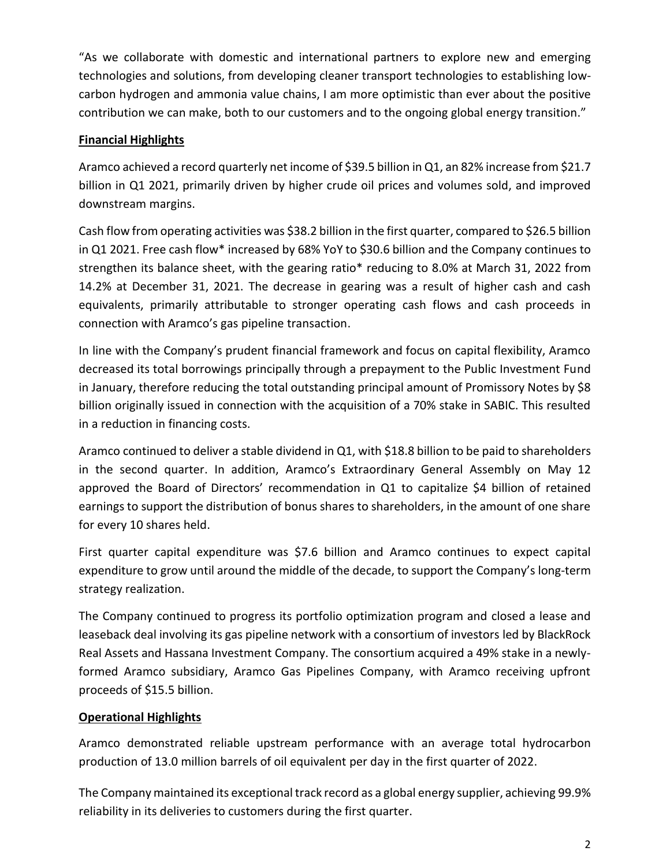"As we collaborate with domestic and international partners to explore new and emerging technologies and solutions, from developing cleaner transport technologies to establishing lowcarbon hydrogen and ammonia value chains, I am more optimistic than ever about the positive contribution we can make, both to our customers and to the ongoing global energy transition."

# **Financial Highlights**

Aramco achieved a record quarterly net income of \$39.5 billion in Q1, an 82% increase from \$21.7 billion in Q1 2021, primarily driven by higher crude oil prices and volumes sold, and improved downstream margins.

Cash flow from operating activities was \$38.2 billion in the first quarter, compared to \$26.5 billion in Q1 2021. Free cash flow\* increased by 68% YoY to \$30.6 billion and the Company continues to strengthen its balance sheet, with the gearing ratio\* reducing to 8.0% at March 31, 2022 from 14.2% at December 31, 2021. The decrease in gearing was a result of higher cash and cash equivalents, primarily attributable to stronger operating cash flows and cash proceeds in connection with Aramco's gas pipeline transaction.

In line with the Company's prudent financial framework and focus on capital flexibility, Aramco decreased its total borrowings principally through a prepayment to the Public Investment Fund in January, therefore reducing the total outstanding principal amount of Promissory Notes by \$8 billion originally issued in connection with the acquisition of a 70% stake in SABIC. This resulted in a reduction in financing costs.

Aramco continued to deliver a stable dividend in Q1, with \$18.8 billion to be paid to shareholders in the second quarter. In addition, Aramco's Extraordinary General Assembly on May 12 approved the Board of Directors' recommendation in Q1 to capitalize \$4 billion of retained earnings to support the distribution of bonus shares to shareholders, in the amount of one share for every 10 shares held.

First quarter capital expenditure was \$7.6 billion and Aramco continues to expect capital expenditure to grow until around the middle of the decade, to support the Company's long-term strategy realization.

The Company continued to progress its portfolio optimization program and closed a lease and leaseback deal involving its gas pipeline network with a consortium of investors led by BlackRock Real Assets and Hassana Investment Company. The consortium acquired a 49% stake in a newlyformed Aramco subsidiary, Aramco Gas Pipelines Company, with Aramco receiving upfront proceeds of \$15.5 billion.

## **Operational Highlights**

Aramco demonstrated reliable upstream performance with an average total hydrocarbon production of 13.0 million barrels of oil equivalent per day in the first quarter of 2022.

The Company maintained its exceptional track record as a global energy supplier, achieving 99.9% reliability in its deliveries to customers during the first quarter.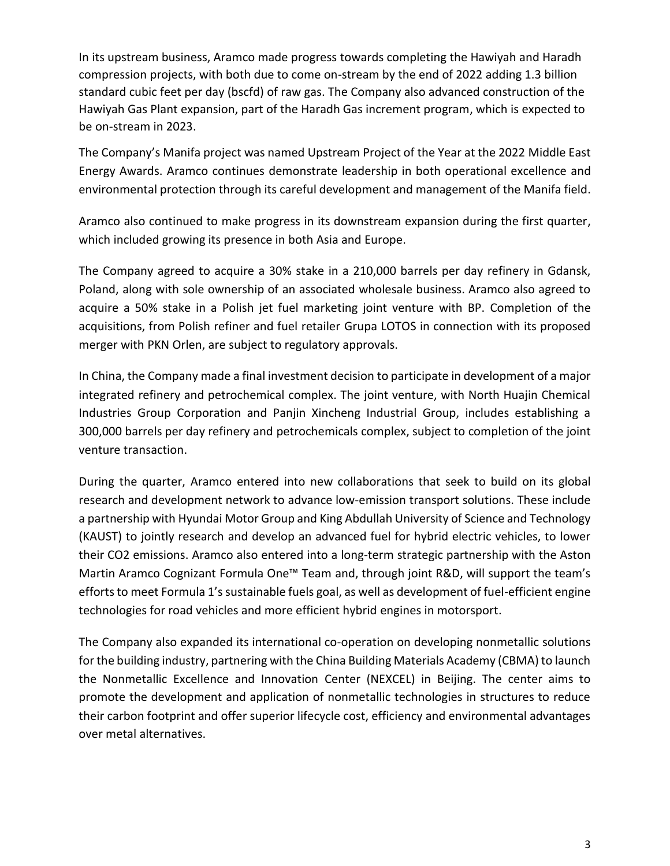In its upstream business, Aramco made progress towards completing the Hawiyah and Haradh compression projects, with both due to come on-stream by the end of 2022 adding 1.3 billion standard cubic feet per day (bscfd) of raw gas. The Company also advanced construction of the Hawiyah Gas Plant expansion, part of the Haradh Gas increment program, which is expected to be on-stream in 2023.

The Company's Manifa project was named Upstream Project of the Year at the 2022 Middle East Energy Awards. Aramco continues demonstrate leadership in both operational excellence and environmental protection through its careful development and management of the Manifa field.

Aramco also continued to make progress in its downstream expansion during the first quarter, which included growing its presence in both Asia and Europe.

The Company agreed to acquire a 30% stake in a 210,000 barrels per day refinery in Gdansk, Poland, along with sole ownership of an associated wholesale business. Aramco also agreed to acquire a 50% stake in a Polish jet fuel marketing joint venture with BP. Completion of the acquisitions, from Polish refiner and fuel retailer Grupa LOTOS in connection with its proposed merger with PKN Orlen, are subject to regulatory approvals.

In China, the Company made a final investment decision to participate in development of a major integrated refinery and petrochemical complex. The joint venture, with North Huajin Chemical Industries Group Corporation and Panjin Xincheng Industrial Group, includes establishing a 300,000 barrels per day refinery and petrochemicals complex, subject to completion of the joint venture transaction.

During the quarter, Aramco entered into new collaborations that seek to build on its global research and development network to advance low-emission transport solutions. These include a partnership with Hyundai Motor Group and King Abdullah University of Science and Technology (KAUST) to jointly research and develop an advanced fuel for hybrid electric vehicles, to lower their CO2 emissions. Aramco also entered into a long-term strategic partnership with the Aston Martin Aramco Cognizant Formula One™ Team and, through joint R&D, will support the team's efforts to meet Formula 1's sustainable fuels goal, as well as development of fuel-efficient engine technologies for road vehicles and more efficient hybrid engines in motorsport.

The Company also expanded its international co-operation on developing nonmetallic solutions for the building industry, partnering with the China Building Materials Academy (CBMA) to launch the Nonmetallic Excellence and Innovation Center (NEXCEL) in Beijing. The center aims to promote the development and application of nonmetallic technologies in structures to reduce their carbon footprint and offer superior lifecycle cost, efficiency and environmental advantages over metal alternatives.